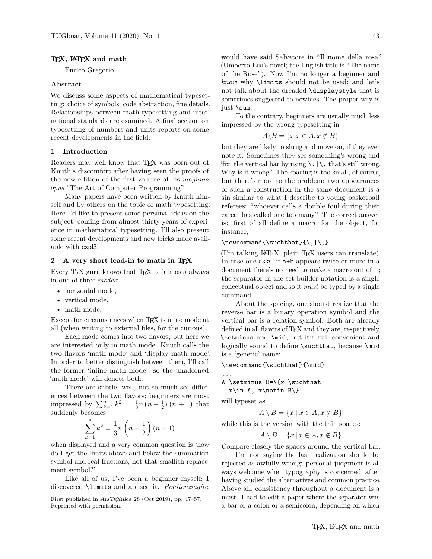#### **TEX, LATEX and math**

Enrico Gregorio

#### **Abstract**

We discuss some aspects of mathematical typesetting: choice of symbols, code abstraction, fine details. Relationships between math typesetting and international standards are examined. A final section on typesetting of numbers and units reports on some recent developments in the field.

## **1 Introduction**

Readers may well know that TEX was born out of Knuth's discomfort after having seen the proofs of the new edition of the first volume of his *magnum opus* "The Art of Computer Programming".

Many papers have been written by Knuth himself and by others on the topic of math typesetting. Here I'd like to present some personal ideas on the subject, coming from almost thirty years of experience in mathematical typesetting. I'll also present some recent developments and new tricks made available with expl3.

#### **2 A very short lead-in to math in TEX**

Every T<sub>E</sub>X guru knows that T<sub>E</sub>X is (almost) always in one of three *modes*:

- horizontal mode,
- vertical mode,
- math mode.

Except for circumstances when T<sub>EX</sub> is in no mode at all (when writing to external files, for the curious).

Each mode comes into two flavors, but here we are interested only in math mode. Knuth calls the two flavors 'math mode' and 'display math mode'. In order to better distinguish between them, I'll call the former 'inline math mode', so the unadorned 'math mode' will denote both.

There are subtle, well, not so much so, differences between the two flavors; beginners are most impressed by  $\sum_{k=1}^{n} k^2 = \frac{1}{3}n(n+\frac{1}{2})(n+1)$  that suddenly becomes

$$
\sum_{k=1}^{n} k^{2} = \frac{1}{3}n\left(n + \frac{1}{2}\right)(n+1)
$$

when displayed and a very common question is 'how do I get the limits above and below the summation symbol and real fractions, not that smallish replacement symbol?'

Like all of us, I've been a beginner myself; I discovered \limits and abused it. *Penitenziagite*,

would have said Salvatore in "Il nome della rosa" (Umberto Eco's novel; the English title is "The name of the Rose"). Now I'm no longer a beginner and *know* why \limits should not be used; and let's not talk about the dreaded \displaystyle that is sometimes suggested to newbies. The proper way is just \sum.

To the contrary, beginners are usually much less impressed by the wrong typesetting in

$$
A \backslash B = \{x | x \in A, x \notin B\}
$$

but they are likely to shrug and move on, if they ever note it. Sometimes they see something's wrong and 'fix' the vertical bar by using  $\setminus$ ,  $|\setminus$ , that's still wrong. Why is it wrong? The spacing is too small, of course, but there's more to the problem: two appearances of such a construction in the same document is a sin similar to what I describe to young basketball referees: "whoever calls a double foul during their career has called one too many". The correct answer is: first of all define a macro for the object, for instance,

## $\newcommand{\x00}{\substack{\tau\\{\,\cdot\,\cdot\,\cdot}$

(I'm talking LATEX, plain TEX users can translate). In case one asks, if a+b appears twice or more in a document there's no need to make a macro out of it; the separator in the set builder notation is a single conceptual object and so it *must* be typed by a single command.

About the spacing, one should realize that the reverse bar is a binary operation symbol and the vertical bar is a relation symbol. Both are already defined in all flavors of T<sub>E</sub>X and they are, respectively, \setminus and \mid, but it's still convenient and logically sound to define \suchthat, because \mid is a 'generic' name:

\newcommand{\suchthat}{\mid}

A \setminus  $B=\{x \suchthat\}$  $x\in A$ ,  $x\not\in B\}$ 

will typeset as

...

$$
A \setminus B = \{x \mid x \in A, x \notin B\}
$$

while this is the version with the thin spaces:

$$
A \setminus B = \{x \mid x \in A, x \notin B\}
$$

Compare closely the spaces around the vertical bar.

I'm not saying the last realization should be rejected as awfully wrong: personal judgment is always welcome when typography is concerned, after having studied the alternatives and common practice. Above all, consistency throughout a document is a must. I had to edit a paper where the separator was a bar or a colon or a semicolon, depending on which

First published in ArsT<sub>E</sub>Xnica 28 (Oct 2019), pp. 47–57. Reprinted with permission.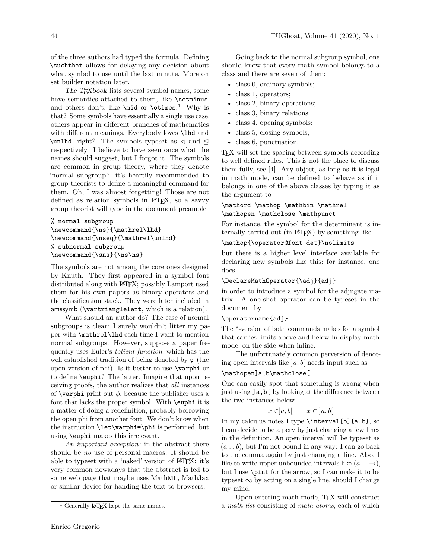of the three authors had typed the formula. Defining \suchthat allows for delaying any decision about what symbol to use until the last minute. More on set builder notation later.

The T<sub>E</sub>Xbook lists several symbol names, some have semantics attached to them, like \setminus, and others don't, like **\mid** or **\otimes.**<sup>1</sup> Why is that? Some symbols have essentially a single use case, others appear in different branches of mathematics with different meanings. Everybody loves **\lhd** and \unlhd, right? The symbols typeset as  $\triangleleft$  and  $\triangleleft$ respectively. I believe to have seen once what the names should suggest, but I forgot it. The symbols are common in group theory, where they denote 'normal subgroup': it's heartily recommended to group theorists to define a meaningful command for them. Oh, I was almost forgetting! Those are not defined as relation symbols in LAT<sub>F</sub>X, so a savvy group theorist will type in the document preamble

```
% normal subgroup
\newcommand{\ns}{\mathrel\lhd}
\newcommand{\nseq}{\mathrel\unlhd}
% subnormal subgroup
\newcommand{\sns}{\ns\ns}
```
The symbols are not among the core ones designed by Knuth. They first appeared in a symbol font distributed along with LATEX; possibly Lamport used them for his own papers as binary operators and the classification stuck. They were later included in amssymb (\vartriangleleft, which is a relation).

What should an author do? The case of normal subgroups is clear: I surely wouldn't litter my paper with \mathrel\lhd each time I want to mention normal subgroups. However, suppose a paper frequently uses Euler's *totient function*, which has the well established tradition of being denoted by  $\varphi$  (the open version of phi). Is it better to use \varphi or to define \euphi? The latter. Imagine that upon receiving proofs, the author realizes that *all* instances of  $\varphi$ , because the publisher uses a font that lacks the proper symbol. With \euphi it is a matter of doing a redefinition, probably borrowing the open phi from another font. We don't know when the instruction \let\varphi=\phi is performed, but using \euphi makes this irrelevant.

*An important exception:* in the abstract there should be *no* use of personal macros. It should be able to typeset with a 'naked' version of LATEX: it's very common nowadays that the abstract is fed to some web page that maybe uses MathML, MathJax or similar device for handing the text to browsers.

Going back to the normal subgroup symbol, one should know that every math symbol belongs to a class and there are seven of them:

- class 0, ordinary symbols;
- class 1, operators;
- class 2, binary operations;
- class 3, binary relations;
- class 4, opening symbols;
- class 5, closing symbols;
- class 6, punctuation.

TEX will set the spacing between symbols according to well defined rules. This is not the place to discuss them fully, see [4]. Any object, as long as it is legal in math mode, can be defined to behave as if it belongs in one of the above classes by typing it as the argument to

## \mathord \mathop \mathbin \mathrel \mathopen \mathclose \mathpunct

For instance, the symbol for the determinant is internally carried out (in LATEX) by something like

#### \mathop{\operator@font det}\nolimits

but there is a higher level interface available for declaring new symbols like this; for instance, one does

## \DeclareMathOperator{\adj}{adj}

in order to introduce a symbol for the adjugate matrix. A one-shot operator can be typeset in the document by

## \operatorname{adj}

The \*-version of both commands makes for a symbol that carries limits above and below in display math mode, on the side when inline.

The unfortunately common perversion of denoting open intervals like ]*a, b*[ needs input such as

## \mathopen]a,b\mathclose[

One can easily spot that something is wrong when just using  $\exists a,b[$  by looking at the difference between the two instances below

$$
x \in ]a, b[
$$
  $x \in ]a, b[$ 

In my calculus notes I type  $\intercal$  interval [o] {a,b}, so I can decide to be a perv by just changing a few lines in the definition. An open interval will be typeset as (*a . . b*), but I'm not bound in any way: I can go back to the comma again by just changing a line. Also, I like to write upper unbounded intervals like  $(a \dots \rightarrow)$ , but I use \pinf for the arrow, so I can make it to be typeset  $\infty$  by acting on a single line, should I change my mind.

Upon entering math mode, TEX will construct a *math list* consisting of *math atoms*, each of which

 $1$  Generally LAT<sub>E</sub>X kept the same names.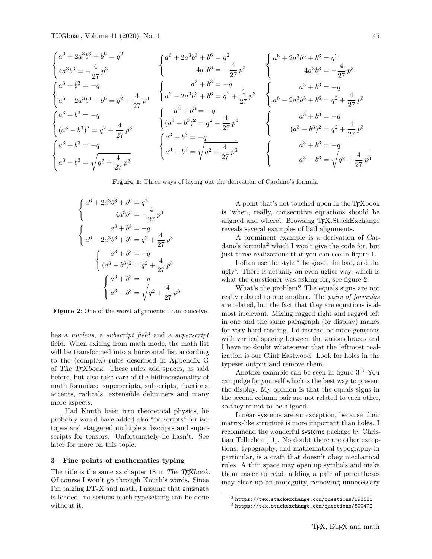TUGboat, Volume 41 (2020), No. 1 45

$$
\begin{cases}\na^{6} + 2a^{3}b^{3} + b^{6} = q^{2} \\
4a^{3}b^{3} = -\frac{4}{27}p^{3}\n\end{cases}\n\begin{cases}\na^{6} + 2a^{3}b^{3} + b^{6} = q^{2} \\
4a^{3}b^{3} = -\frac{4}{27}p^{3}\n\end{cases}\n\begin{cases}\na^{6} + 2a^{3}b^{3} + b^{6} = q^{2} \\
4a^{3}b^{3} = -\frac{4}{27}p^{3}\n\end{cases}\n\begin{cases}\na^{3} + b^{3} = -q \\
a^{6} - 2a^{3}b^{3} + b^{6} = q^{2} + \frac{4}{27}p^{3}\n\end{cases}\n\begin{cases}\na^{3} + b^{3} = -q \\
a^{6} - 2a^{3}b^{3} + b^{6} = q^{2} + \frac{4}{27}p^{3}\n\end{cases}\n\begin{cases}\na^{3} + b^{3} = -q \\
a^{3} + b^{3} = -q \\
(a^{3} - b^{3})^{2} = q^{2} + \frac{4}{27}p^{3}\n\end{cases}\n\begin{cases}\na^{3} + b^{3} = -q \\
a^{3} + b^{3} = -q \\
(a^{3} - b^{3})^{2} = q^{2} + \frac{4}{27}p^{3}\n\end{cases}\n\begin{cases}\na^{3} + b^{3} = -q \\
a^{3} + b^{3} = -q \\
a^{3} - b^{3} = \sqrt{q^{2} + \frac{4}{27}p^{3}}\n\end{cases}\n\begin{cases}\na^{3} + b^{3} = -q \\
a^{3} + b^{3} = -q \\
a^{3} - b^{3} = \sqrt{q^{2} + \frac{4}{27}p^{3}}\n\end{cases}\n\begin{cases}\na^{3} + b^{3} = -q \\
a^{3} + b^{3} = -q \\
a^{3} - b^{3} = \sqrt{q^{2} + \frac{4}{27}p^{3}}\n\end{cases}\n\begin{cases}\na^{3} + b^{3} = -q \\
a^{3} + b^{3} = -q \\
a^{3} - b^{3} = \sqrt{q^{2} + \frac{4}{27}p^{3}}\n\end{cases}
$$

**Figure 1**: Three ways of laying out the derivation of Cardano's formula

$$
\begin{cases}\na^6 + 2a^3b^3 + b^6 = q^2 \\
4a^3b^3 = -\frac{4}{27}p^3\n\end{cases}
$$
\n
$$
\begin{cases}\na^3 + b^3 = -q \\
a^6 - 2a^3b^3 + b^6 = q^2 + \frac{4}{27}p^3\n\end{cases}
$$
\n
$$
\begin{cases}\na^3 + b^3 = -q \\
(a^3 - b^3)^2 = q^2 + \frac{4}{27}p^3\n\end{cases}
$$
\n
$$
\begin{cases}\na^3 + b^3 = -q \\
a^3 - b^3 = \sqrt{q^2 + \frac{4}{27}p^3}\n\end{cases}
$$

**Figure 2**: One of the worst alignments I can conceive

has a *nucleus*, a *subscript field* and a *superscript* field. When exiting from math mode, the math list will be transformed into a horizontal list according to the (complex) rules described in Appendix G of The TEXbook. These rules add spaces, as said before, but also take care of the bidimensionality of math formulas: superscripts, subscripts, fractions, accents, radicals, extensible delimiters and many more aspects.

Had Knuth been into theoretical physics, he probably would have added also "prescripts" for isotopes and staggered multiple subscripts and superscripts for tensors. Unfortunately he hasn't. See later for more on this topic.

#### **3 Fine points of mathematics typing**

The title is the same as chapter 18 in The TEXbook. Of course I won't go through Knuth's words. Since I'm talking IATEX and math, I assume that amsmath is loaded: no serious math typesetting can be done without it.

A point that's not touched upon in the TEXbook is 'when, really, consecutive equations should be aligned and where'. Browsing TEX.StackExchange reveals several examples of bad alignments.

A prominent example is a derivation of Car- $\gamma$  dano's formula<sup>2</sup> which I won't give the code for, but just three realizations that you can see in figure 1.

I often use the style "the good, the bad, and the ugly". There is actually an even uglier way, which is what the questioner was asking for, see figure 2.

What's the problem? The equals signs are not really related to one another. The *pairs of formulas* are related, but the fact that they are equations is almost irrelevant. Mixing ragged right and ragged left in one and the same paragraph (or display) makes for very hard reading. I'd instead be more generous with vertical spacing between the various braces and I have no doubt whatsoever that the leftmost realization is our Clint Eastwood. Look for holes in the typeset output and remove them.

Another example can be seen in figure 3.<sup>3</sup> You can judge for yourself which is the best way to present the display. My opinion is that the equals signs in the second column pair are not related to each other, so they're not to be aligned.

Linear systems are an exception, because their matrix-like structure is more important than holes. I recommend the wonderful systeme package by Christian Tellechea [11]. No doubt there are other exceptions: typography, and mathematical typography in particular, is a craft that doesn't obey mechanical rules. A thin space may open up symbols and make them easier to read, adding a pair of parentheses may clear up an ambiguity, removing unnecessary

<sup>2</sup> https://tex.stackexchange.com/questions/193581

<sup>3</sup> https://tex.stackexchange.com/questions/500472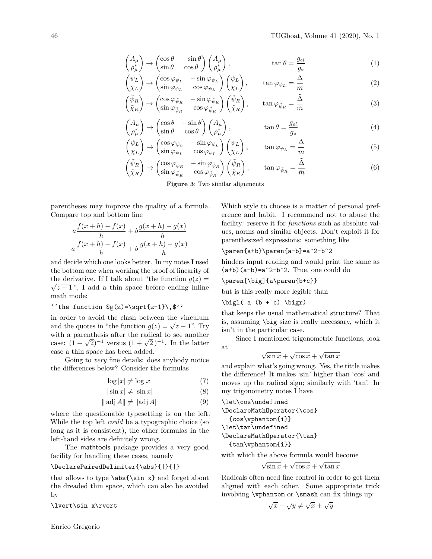$$
\begin{pmatrix} A_{\mu} \\ \rho_{\mu}^* \end{pmatrix} \rightarrow \begin{pmatrix} \cos \theta & -\sin \theta \\ \sin \theta & \cos \theta \end{pmatrix} \begin{pmatrix} A_{\mu} \\ \rho_{\mu}^* \end{pmatrix}, \qquad \tan \theta = \frac{g_{el}}{g_*} \tag{1}
$$

$$
\begin{pmatrix} \psi_L \\ \chi_L \end{pmatrix} \to \begin{pmatrix} \cos \varphi_{\psi_L} & -\sin \varphi_{\psi_L} \\ \sin \varphi_{\psi_L} & \cos \varphi_{\psi_L} \end{pmatrix} \begin{pmatrix} \psi_L \\ \chi_L \end{pmatrix}, \qquad \tan \varphi_{\psi_L} = \frac{\Delta}{m} \tag{2}
$$

$$
\begin{pmatrix}\n\tilde{\psi}_R \\
\tilde{\chi}_R\n\end{pmatrix} \to \begin{pmatrix}\n\cos\varphi_{\tilde{\psi}_R} & -\sin\varphi_{\tilde{\psi}_R} \\
\sin\varphi_{\tilde{\psi}_R} & \cos\varphi_{\tilde{\psi}_R}\n\end{pmatrix} \begin{pmatrix}\n\tilde{\psi}_R \\
\tilde{\chi}_R\n\end{pmatrix}, \qquad \tan\varphi_{\tilde{\psi}_R} = \frac{\tilde{\Delta}}{\tilde{m}}\n\tag{3}
$$

$$
\begin{pmatrix} A_{\mu} \\ \rho_{\mu}^{*} \end{pmatrix} \rightarrow \begin{pmatrix} \cos \theta & -\sin \theta \\ \sin \theta & \cos \theta \end{pmatrix} \begin{pmatrix} A_{\mu} \\ \rho_{\mu}^{*} \end{pmatrix}, \qquad \tan \theta = \frac{g_{el}}{g_{*}} \tag{4}
$$

$$
\begin{pmatrix} \psi_L \\ \chi_L \end{pmatrix} \to \begin{pmatrix} \cos \varphi_{\psi_L} & -\sin \varphi_{\psi_L} \\ \sin \varphi_{\psi_L} & \cos \varphi_{\psi_L} \end{pmatrix} \begin{pmatrix} \psi_L \\ \chi_L \end{pmatrix}, \qquad \tan \varphi_{\psi_L} = \frac{\Delta}{m} \tag{5}
$$

$$
\begin{aligned}\n\tilde{\psi}_R \\
\tilde{\chi}_R\n\end{aligned}\n\rightarrow\n\begin{pmatrix}\n\cos\varphi_{\tilde{\psi}_R} & -\sin\varphi_{\tilde{\psi}_R} \\
\sin\varphi_{\tilde{\psi}_R} & \cos\varphi_{\tilde{\psi}_R}\n\end{pmatrix}\n\begin{pmatrix}\n\tilde{\psi}_R \\
\tilde{\chi}_R\n\end{pmatrix},\n\qquad\n\tan\varphi_{\tilde{\psi}_R} = \frac{\tilde{\Delta}}{\tilde{m}}\n\tag{6}
$$

**Figure 3**: Two similar alignments

parentheses may improve the quality of a formula. Compare top and bottom line

 $\sqrt{ }$ 

$$
a \frac{f(x+h) - f(x)}{h} + b \frac{g(x+h) - g(x)}{h}
$$

$$
a \frac{f(x+h) - f(x)}{h} + b \frac{g(x+h) - g(x)}{h}
$$

and decide which one looks better. In my notes I used the bottom one when working the proof of linearity of the derivative. If I talk about "the function  $g(z) = \sqrt{\overline{z}}$  $\sqrt{z-1}$ ", I add a thin space before ending inline math mode:

## ''the function  $g(z)=\sqrt{z-1}\,$ ,  $\$ ''

in order to avoid the clash between the vinculum and the quotes in "the function  $g(z) = \sqrt{z-1}$ ". Try with a parenthesis after the radical to see another with a parenthesis after the radical to see another<br>case:  $(1 + \sqrt{2})^{-1}$  versus  $(1 + \sqrt{2})^{-1}$ . In the latter case a thin space has been added.

Going to *very* fine details: does anybody notice the differences below? Consider the formulas

$$
\log|x| \neq \log|x| \tag{7}
$$

$$
|\sin x| \neq |\sin x| \tag{8}
$$

$$
\|\operatorname{adj} A\| \neq \|\operatorname{adj} A\| \tag{9}
$$

where the questionable typesetting is on the left. While the top left *could* be a typographic choice (so long as it is consistent), the other formulas in the left-hand sides are definitely wrong.

The mathtools package provides a very good facility for handling these cases, namely

#### \DeclarePairedDelimiter{\abs}{|}{|}

that allows to type  $\abs{\sin x}$  and forget about the dreaded thin space, which can also be avoided by

## \lvert\sin x\rvert

Which style to choose is a matter of personal preference and habit. I recommend not to abuse the facility: reserve it for *functions* such as absolute values, norms and similar objects. Don't exploit it for parenthesized expressions: something like

#### \paren{a+b}\paren{a-b}=aˆ2-bˆ2

hinders input reading and would print the same as  $(a+b)(a-b)=a^2-b^2$ . True, one could do

\paren[\big]{a\paren{b+c}}

but is this really more legible than

$$
\big\{ \alpha (b + c) \big\}
$$

that keeps the usual mathematical structure? That is, assuming \big size is really necessary, which it isn't in the particular case.

Since I mentioned trigonometric functions, look at √ √ √

$$
\sqrt{\sin x} + \sqrt{\cos x} + \sqrt{\tan x}
$$

and explain what's going wrong. Yes, the tittle makes the difference! It makes 'sin' higher than 'cos' and moves up the radical sign; similarly with 'tan'. In my trigonometry notes I have

\let\cos\undefined \DeclareMathOperator{\cos} {cos\vphantom{i}} \let\tan\undefined \DeclareMathOperator{\tan} {tan\vphantom{i}}

with which the above formula would become

$$
\sqrt{\sin x} + \sqrt{\cos x} + \sqrt{\tan x}
$$

Radicals often need fine control in order to get them aligned with each other. Some appropriate trick involving \vphantom or \smash can fix things up:

$$
\sqrt{x} + \sqrt{y} \neq \sqrt{x} + \sqrt{y}
$$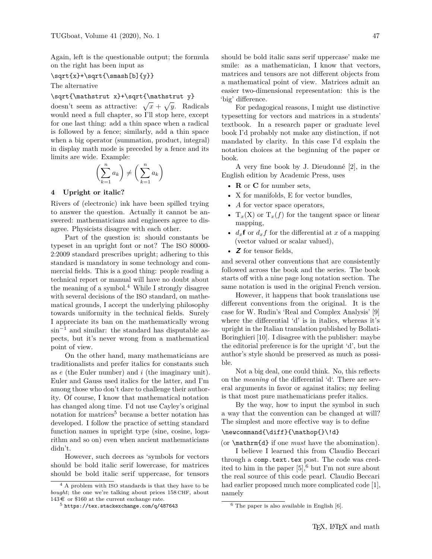Again, left is the questionable output; the formula on the right has been input as

#### $\sqrt{x}+\sqrt{x}$  (b]{y}}

The alternative

## \sqrt{\mathstrut x}+\sqrt{\mathstrut y}

doesn't seem as attractive:  $\sqrt{x} + \sqrt{y}$ . Radicals would need a full chapter, so I'll stop here, except for one last thing: add a thin space when a radical is followed by a fence; similarly, add a thin space when a big operator (summation, product, integral) in display math mode is preceded by a fence and its limits are wide. Example:

$$
\left(\sum_{k=1}^n a_k\right) \neq \left(\sum_{k=1}^n a_k\right)
$$

## **4 Upright or italic?**

Rivers of (electronic) ink have been spilled trying to answer the question. Actually it cannot be answered: mathematicians and engineers agree to disagree. Physicists disagree with each other.

Part of the question is: should constants be typeset in an upright font or not? The ISO 80000- 2:2009 standard prescribes upright; adhering to this standard is mandatory in some technology and commercial fields. This is a good thing: people reading a technical report or manual will have no doubt about the meaning of a symbol.<sup>4</sup> While I strongly disagree with several decisions of the ISO standard, on mathematical grounds, I accept the underlying philosophy towards uniformity in the technical fields. Surely I appreciate its ban on the mathematically wrong sin<sup>−</sup><sup>1</sup> and similar: the standard has disputable aspects, but it's never wrong from a mathematical point of view.

On the other hand, many mathematicians are traditionalists and prefer italics for constants such as *e* (the Euler number) and *i* (the imaginary unit). Euler and Gauss used italics for the latter, and I'm among those who don't dare to challenge their authority. Of course, I know that mathematical notation has changed along time. I'd not use Cayley's original notation for matrices<sup>5</sup> because a better notation has developed. I follow the practice of setting standard function names in upright type (sine, cosine, logarithm and so on) even when ancient mathematicians didn't.

However, such decrees as 'symbols for vectors should be bold italic serif lowercase, for matrices should be bold italic serif uppercase, for tensors

should be bold italic sans serif uppercase' make me smile: as a mathematician, I know that vectors, matrices and tensors are not different objects from a mathematical point of view. Matrices admit an easier two-dimensional representation: this is the 'big' difference.

For pedagogical reasons, I might use distinctive typesetting for vectors and matrices in a students' textbook. In a research paper or graduate level book I'd probably not make any distinction, if not mandated by clarity. In this case I'd explain the notation choices at the beginning of the paper or book.

A very fine book by J. Dieudonné  $[2]$ , in the English edition by Academic Press, uses

- **R** or **C** for number sets,
- X for manifolds, E for vector bundles,
- *A* for vector space operators,
- $T_x(X)$  or  $T_x(f)$  for the tangent space or linear mapping,
- $d_x$ **f** or  $d_x f$  for the differential at *x* of a mapping (vector valued or scalar valued),
- **Z** for tensor fields,

and several other conventions that are consistently followed across the book and the series. The book starts off with a nine page long notation section. The same notation is used in the original French version.

However, it happens that book translations use different conventions from the original. It is the case for W. Rudin's 'Real and Complex Analysis' [9] where the differential 'd' is in italics, whereas it's upright in the Italian translation published by Bollati-Boringhieri [10]. I disagree with the publisher: maybe the editorial preference is for the upright 'd', but the author's style should be preserved as much as possible.

Not a big deal, one could think. No, this reflects on the *meaning* of the differential 'd'. There are several arguments in favor or against italics; my feeling is that most pure mathematicians prefer italics.

By the way, how to input the symbol in such a way that the convention can be changed at will? The simplest and more effective way is to define

## \newcommand{\diff}{\mathop{}\!d}

(or \mathrm{d} if one *must* have the abomination).

I believe I learned this from Claudio Beccari through a comp.text.tex post. The code was credited to him in the paper  $[5]$ , but I'm not sure about the real source of this code pearl. Claudio Beccari had earlier proposed much more complicated code [1], namely

<sup>4</sup> A problem with ISO standards is that they have to be *bought*; the one we're talking about prices 158 CHF, about  $143 \in \text{or } $160 \text{ at the current exchange rate.}$ 

<sup>5</sup> https://tex.stackexchange.com/q/487643

 $6$  The paper is also available in English [6].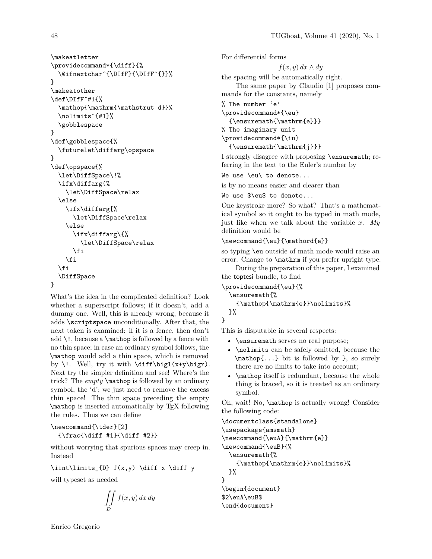```
\makeatletter
\providecommand*{\diff}{%
  \@ifnextcharˆ{\DIfF}{\DIfFˆ{}}%
}
\makeatother
\def\DIfFˆ#1{%
  \mathop{\mathrm{\mathstrut d}}%
  \nolimitsˆ{#1}%
  \gobblespace
}
\def\gobblespace{%
  \futurelet\diffarg\opspace
}
\def\opspace{%
  \let\DiffSpace\!%
  \ifx\diffarg(%
    \let\DiffSpace\relax
  \else
    \ifx\diffarg[%
      \let\DiffSpace\relax
    \else
      \ifx\diffarg\{%
        \let\DiffSpace\relax
      \fi
    \fi
  \fi
  \DiffSpace
}
```
What's the idea in the complicated definition? Look whether a superscript follows; if it doesn't, add a dummy one. Well, this is already wrong, because it adds \scriptspace unconditionally. After that, the next token is examined: if it is a fence, then don't add  $\lq$ !, because a  $\mathbb{Q}$  is followed by a fence with no thin space; in case an ordinary symbol follows, the \mathop would add a thin space, which is removed by \!. Well, try it with  $\diff\big\{x+y\big\}.$ Next try the simpler definition and see! Where's the trick? The *empty* \mathop is followed by an ordinary symbol, the 'd'; we just need to remove the excess thin space! The thin space preceding the empty \mathop is inserted automatically by TEX following the rules. Thus we can define

# \newcommand{\tder}[2]  ${\frac{\diff #1}{\diff #2}}$

without worrying that spurious spaces may creep in. Instead

## $\int\limits_{ID} f(x,y) \diff x \diff y$

will typeset as needed

$$
\iint\limits_D f(x,y)\,dx\,dy
$$

For differential forms *f*(*x, y*) *dx* ∧ *dy* the spacing will be automatically right. The same paper by Claudio [1] proposes commands for the constants, namely % The number 'e' \providecommand\*{\eu} {\ensuremath{\mathrm{e}}} % The imaginary unit \providecommand\*{\iu} {\ensuremath{\mathrm{j}}}

I strongly disagree with proposing \ensuremath; referring in the text to the Euler's number by

We use \eu\ to denote...

is by no means easier and clearer than

#### We use \$\eu\$ to denote...

One keystroke more? So what? That's a mathematical symbol so it ought to be typed in math mode, just like when we talk about the variable *x*. *My* definition would be

#### $\newcommand{\eu}{\mathbf{}\mathbf{e}}$

so typing \eu outside of math mode would raise an error. Change to **\mathrm** if you prefer upright type.

During the preparation of this paper, I examined the toptesi bundle, to find

```
\providecommand{\eu}{%
  \ensuremath{%
    {\mathop{\mathrm{e}}\nolimits}%
  }%
}
```
This is disputable in several respects:

- \ensuremath serves no real purpose;
- \nolimits can be safely omitted, because the \mathop{...} bit is followed by }, so surely there are no limits to take into account;
- **\mathop** itself is redundant, because the whole thing is braced, so it is treated as an ordinary symbol.

Oh, wait! No, \mathop is actually wrong! Consider the following code:

```
\documentclass{standalone}
\usepackage{amsmath}
\newcommand{\euA}{\mathrm{e}}
\newcommand{\euB}{%
  \ensuremath{%
    {\mathop{\mathrm{e}}\nolimits}%
  }%
}
\begin{document}
$2\euA\euB$
\end{document}
```
Enrico Gregorio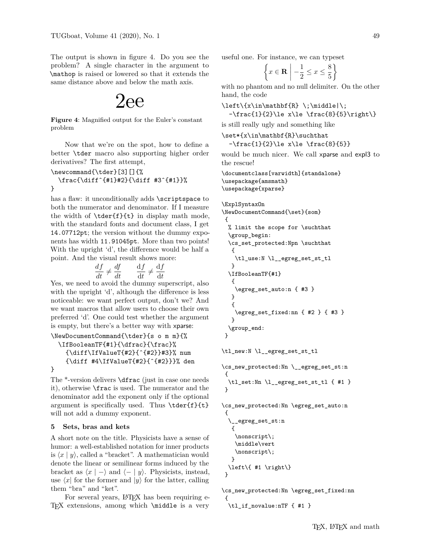The output is shown in figure 4. Do you see the problem? A single character in the argument to \mathop is raised or lowered so that it extends the same distance above and below the math axis.

# 2ee

**Figure 4**: Magnified output for the Euler's constant problem

Now that we're on the spot, how to define a better \tder macro also supporting higher order derivatives? The first attempt,

```
\newcommand{\tder}[3][]{%
  \frac{\diffˆ{#1}#2}{\diff #3ˆ{#1}}%
}
```
has a flaw: it unconditionally adds \scriptspace to both the numerator and denominator. If I measure the width of  $\text{f}(t)$  in display math mode, with the standard fonts and document class, I get 14.07712pt; the version without the dummy exponents has width 11.91045pt. More than two points! With the upright 'd', the difference would be half a point. And the visual result shows more:

$$
\frac{df}{dt} \neq \frac{df}{dt} \qquad \frac{df}{dt} \neq \frac{df}{dt}
$$

Yes, we need to avoid the dummy superscript, also with the upright 'd', although the difference is less noticeable: we want perfect output, don't we? And we want macros that allow users to choose their own preferred 'd'. One could test whether the argument is empty, but there's a better way with xparse:

```
\NewDocumentCommand{\tder}{s o m m}{%
  \IfBooleanTF{#1}{\dfrac}{\frac}%
    {\diff\IfValueT{#2}{ˆ{#2}}#3}% num
    {\diff #4\IfValueT{#2}{ˆ{#2}}}% den
}
```
The \*-version delivers \dfrac (just in case one needs it), otherwise \frac is used. The numerator and the denominator add the exponent only if the optional argument is specifically used. Thus \tder{f}{t} will not add a dummy exponent.

## **5 Sets, bras and kets**

A short note on the title. Physicists have a sense of humor: a well-established notation for inner products is  $\langle x | y \rangle$ , called a "bracket". A mathematician would denote the linear or semilinear forms induced by the bracket as  $\langle x | - \rangle$  and  $\langle - | y \rangle$ . Physicists, instead, use  $\langle x |$  for the former and  $|y\rangle$  for the latter, calling them "bra" and "ket".

For several years, LAT<sub>EX</sub> has been requiring e-TEX extensions, among which \middle is a very useful one. For instance, we can typeset

$$
\left\{ x \in \mathbf{R} \mid -\frac{1}{2} \le x \le \frac{8}{5} \right\}
$$

with no phantom and no null delimiter. On the other hand, the code

 $\left\{\x\in\mathbb{R} \; \; \;\text{odd}\right\}$  $-\frac{1}{2}\le x\le \frac{8}{5}\right\}$ 

is still really ugly and something like

\set\*{x\in\mathbf{R}\suchthat

-\frac{1}{2}\le x\le \frac{8}{5}}

would be much nicer. We call xparse and expl3 to the rescue!

```
\documentclass[varwidth]{standalone}
\usepackage{amsmath}
\usepackage{xparse}
```
\ExplSyntaxOn \NewDocumentCommand{\set}{som} { % limit the scope for \suchthat \group\_begin: \cs\_set\_protected:Npn \suchthat { \tl\_use:N \l\_\_egreg\_set\_st\_tl } \IfBooleanTF{#1} { \egreg\_set\_auto:n { #3 } } { \egreg\_set\_fixed:nn { #2 } { #3 } } \group\_end: }

\tl\_new:N \l\_\_egreg\_set\_st\_tl

```
\cs_new_protected:Nn \__egreg_set_st:n
{
 \tl_set:Nn \l__egreg_set_st_tl { #1 }
 }
```
\cs\_new\_protected:Nn \egreg\_set\_auto:n { \\_\_egreg\_set\_st:n {

```
\nonscript\;
   \middle\vert
   \nonscript\;
  }
 \left\{ #1 \right\}
}
```

```
\cs_new_protected:Nn \egreg_set_fixed:nn
{
 \tl_if_novalue:nTF { #1 }
```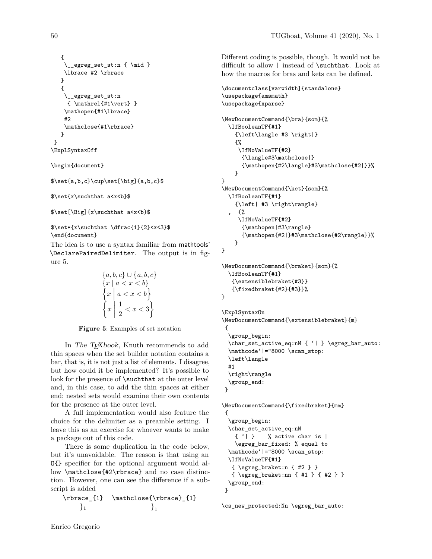```
{
      \lrcorneregreg_set_st:n { \mid }
    \lbrace #2 \rbrace
   }
   {
    \__egreg_set_st:n
     \{\mathcal{H}_1\vert\}\mathopen{#1\lbrace}
    #2
    \mathclose{#1\rbrace}
   }
}
\ExplSyntaxOff
```
\begin{document}

```
$\set{a,b,c}\cup\set[\big]{a,b,c}$
```

```
$\set{x\suchthat a<x<b}$
```
\$\set[\Big]{x\suchthat a<x<b}\$

 $\set{\x\such that \dfrac{1}{2} < x < 3}$ \end{document}

The idea is to use a syntax familiar from mathtools' \DeclarePairedDelimiter. The output is in figure 5.

$$
{a, b, c} \cup {a, b, c}
$$
  

$$
{x | a < x < b}
$$
  

$$
{x | a < x < b}
$$
  

$$
{x | a < x < b}
$$
  

$$
{x | \frac{1}{2} < x < 3}
$$

**Figure 5**: Examples of set notation

In The TEXbook, Knuth recommends to add thin spaces when the set builder notation contains a bar, that is, it is not just a list of elements. I disagree, but how could it be implemented? It's possible to look for the presence of **\suchthat** at the outer level and, in this case, to add the thin spaces at either end; nested sets would examine their own contents for the presence at the outer level.

A full implementation would also feature the choice for the delimiter as a preamble setting. I leave this as an exercise for whoever wants to make a package out of this code.

There is some duplication in the code below, but it's unavoidable. The reason is that using an O{} specifier for the optional argument would allow \mathclose{#2\rbrace} and no case distinction. However, one can see the difference if a subscript is added

$$
\verb+\nbrace{1} \verb+\mathclose{\nbrace{1}+\nbrace{1} \nbrace{1}
$$

Different coding is possible, though. It would not be difficult to allow | instead of \suchthat. Look at how the macros for bras and kets can be defined.

```
\documentclass[varwidth]{standalone}
\usepackage{amsmath}
\usepackage{xparse}
\NewDocumentCommand{\bra}{som}{%
 \IfBooleanTF{#1}
    {\left\langle #3 \right|}
    {%
     \IfNoValueTF{#2}
      {\langle#3\mathclose|}
      {\mathopen{#2\langle}#3\mathclose{#2|}}%
    }
}
\NewDocumentCommand{\ket}{som}{%
  \IfBooleanTF{#1}
    {\left| #3 \right\rangle}
    , {%
     \IfNoValueTF{#2}
      {\mathopen|#3\rangle}
      {\mathopen{#2|}#3\mathclose{#2\rangle}}%
    }
}
```
\NewDocumentCommand{\braket}{som}{% \IfBooleanTF{#1} {\extensiblebraket{#3}} {\fixedbraket{#2}{#3}}% }

\ExplSyntaxOn

```
\NewDocumentCommand{\extensiblebraket}{m}
 {
  \group_begin:
  \char_set_active_eq:nN { '| } \egreg_bar_auto:
  \mathcode'|="8000 \scan_stop:
 \left\langle
 #1
  \right\rangle
  \group_end:
}
```
\NewDocumentCommand{\fixedbraket}{mm} { \group\_begin: \char\_set\_active\_eq:nN { '| } % active char is | \egreg\_bar\_fixed: % equal to \mathcode'|="8000 \scan\_stop: \IfNoValueTF{#1} { \egreg\_braket:n { #2 } } { \egreg\_braket:nn { #1 } { #2 } } \group\_end: }

\cs\_new\_protected:Nn \egreg\_bar\_auto: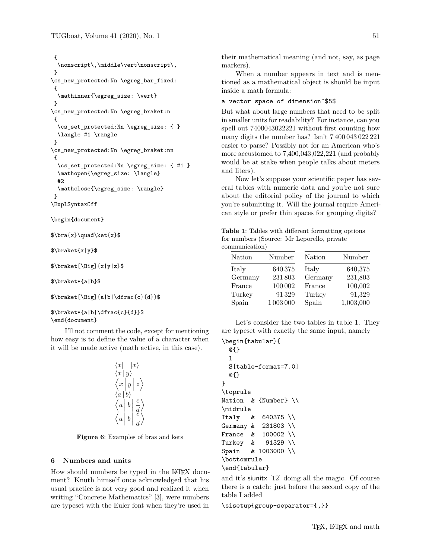```
{
  \nonscript\,\middle\vert\nonscript\,
}
\cs_new_protected:Nn \egreg_bar_fixed:
 {
 \mathinner{\egreg_size: \vert}
}
\cs_new_protected:Nn \egreg_braket:n
 {
 \cs set protected:Nn \egreg size: { }
 \langle #1 \rangle
}
\cs_new_protected:Nn \egreg_braket:nn
{
 \cs_set_protected:Nn \egreg_size: { #1 }
 \mathopen{\egreg_size: \langle}
 #2
 \mathclose{\egreg_size: \rangle}
}
\ExplSyntaxOff
```
\begin{document}

 $\bar{x}\qquad\k \text{x}$ 

\$\braket{x|y}\$

\$\braket[\Big]{x|y|z}\$

\$\braket\*{a|b}\$

\$\braket[\Big]{a|b|\dfrac{c}{d}}\$

#### \$\braket\*{a|b|\dfrac{c}{d}}\$ \end{document}

I'll not comment the code, except for mentioning how easy is to define the value of a character when it will be made active (math active, in this case).



**Figure 6**: Examples of bras and kets

## **6 Numbers and units**

How should numbers be typed in the LATEX document? Knuth himself once acknowledged that his usual practice is not very good and realized it when writing "Concrete Mathematics" [3], were numbers are typeset with the Euler font when they're used in

their mathematical meaning (and not, say, as page markers).

When a number appears in text and is mentioned as a mathematical object is should be input inside a math formula:

## a vector space of dimension˜\$5\$

But what about large numbers that need to be split in smaller units for readability? For instance, can you spell out 7400043022221 without first counting how many digits the number has? Isn't 7 400 043 022 221 easier to parse? Possibly not for an American who's more accustomed to 7*,*400*,*043*,*022*,*221 (and probably would be at stake when people talks about meters and liters).

Now let's suppose your scientific paper has several tables with numeric data and you're not sure about the editorial policy of the journal to which you're submitting it. Will the journal require American style or prefer thin spaces for grouping digits?

**Table 1**: Tables with different formatting options for numbers (Source: Mr Leporello, private communication)

| Nation  | Number    | Nation  | Number    |
|---------|-----------|---------|-----------|
| Italy   | 640 375   | Italy   | 640,375   |
| Germany | 231803    | Germany | 231,803   |
| France  | 100 002   | France  | 100,002   |
| Turkey  | 91329     | Turkey  | 91,329    |
| Spain   | 1 003 000 | Spain   | 1,003,000 |

Let's consider the two tables in table 1. They are typeset with exactly the same input, namely

#### \begin{tabular}{

```
@{}
  \mathbf{1}S[table-format=7.0]
  @{}
}
\toprule
Nation & {Number} \\
\midrule
Italy & 640375 \\
Germany & 231803 \\
France & 100002 \\
Turkey & 91329 \\
Spain & 1003000 \\
\bottomrule
\end{tabular}
```
and it's siunitx [12] doing all the magic. Of course there is a catch: just before the second copy of the table I added

\sisetup{group-separator={,}}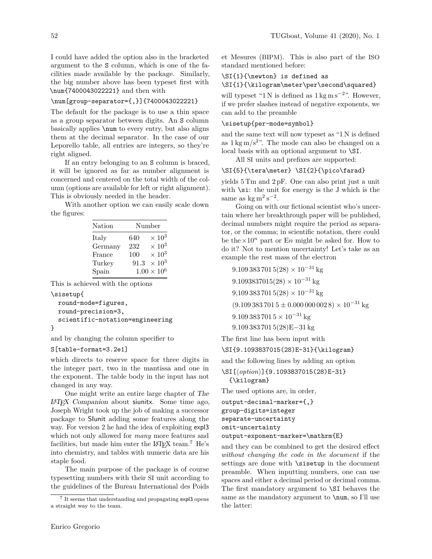I could have added the option also in the bracketed argument to the S column, which is one of the facilities made available by the package. Similarly, the big number above has been typeset first with \num{7400043022221} and then with

## \num[group-separator={,}]{7400043022221}

The default for the package is to use a thin space as a group separator between digits. An S column basically applies \num to every entry, but also aligns them at the decimal separator. In the case of our Leporello table, all entries are integers, so they're right aligned.

If an entry belonging to an S column is braced, it will be ignored as far as number alignment is concerned and centered on the total width of the column (options are available for left or right alignment). This is obviously needed in the header.

With another option we can easily scale down the figures:

| Nation  | Number |                          |  |
|---------|--------|--------------------------|--|
| Italy   | 640    | $\times 10^3$            |  |
| Germany | 232    | $\times\,10^3$           |  |
| France  | 100    | $\times$ 10 <sup>3</sup> |  |
| Turkey  | 91.3   | $\times$ 10 <sup>3</sup> |  |
| Spain   |        | $1.00 \times 10^6$       |  |

This is achieved with the options

```
\sisetup{
```
}

```
round-mode=figures,
round-precision=3,
scientific-notation=engineering
```
and by changing the column specifier to

## S[table-format=3.2e1]

which directs to reserve space for three digits in the integer part, two in the mantissa and one in the exponent. The table body in the input has not changed in any way.

One might write an entire large chapter of The LATEX Companion about siunitx. Some time ago, Joseph Wright took up the job of making a successor package to SIunit adding some features along the way. For version 2 he had the idea of exploiting expl3 which not only allowed for *many* more features and facilities, but made him enter the  $\LaTeX\ team.<sup>7</sup>$  He's into chemistry, and tables with numeric data are his staple food.

The main purpose of the package is of course typesetting numbers with their SI unit according to the guidelines of the Bureau International des Poids et Mesures (BIPM). This is also part of the ISO standard mentioned before:

## \SI{1}{\newton} is defined as

#### \SI{1}{\kilogram\meter\per\second\squared}

will typeset "1 N is defined as  $1 \text{ kg m s}^{-2}$ ". However, if we prefer slashes instead of negative exponents, we can add to the preamble

#### \sisetup{per-mode=symbol}

and the same text will now typeset as "1 N is defined as  $1 \text{ kg m/s}^2$ . The mode can also be changed on a local basis with an optional argument to \SI.

All SI units and prefixes are supported:

# \SI{5}{\tera\meter} \SI{2}{\pico\farad}

yields 5 Tm and 2 pF. One can also print just a unit with  $\succeq$  is the unit for energy is the J which is the same as  $\text{kg m}^2 \text{ s}^{-2}$ .

Going on with our fictional scientist who's uncertain where her breakthrough paper will be published, decimal numbers might require the period as separator, or the comma; in scientific notation, there could be the  $\times 10^n$  part or En might be asked for. How to do it? Not to mention uncertainty! Let's take as an example the rest mass of the electron

 $9.1093837015(28) \times 10^{-31}$  kg  $9.1093837015(28) \times 10^{-31}$  kg  $9,1093837015(28) \times 10^{-31}$  kg  $(9.1093837015 \pm 0.0000000028) \times 10^{-31}$  kg  $9.1093837015 \times 10^{-31}$  kg 9*.*109 383 701 5(28)E−31 kg

The first line has been input with

```
\SI{9.1093837015(28)E-31}{\kilogram}
```
and the following lines by adding an option

```
\SI[\option)]{9.1093837015(28)E-31}
 {\kilogram}
```
The used options are, in order,

```
output-decimal-marker={,}
group-digits=integer
separate-uncertainty
omit-uncertainty
```
output-exponent-marker=\mathrm{E}

and they can be combined to get the desired effect *without changing the code in the document* if the settings are done with \sisetup in the document preamble. When inputting numbers, one can use spaces and either a decimal period or decimal comma. The first mandatory argument to \SI behaves the same as the mandatory argument to \num, so I'll use the latter:

<sup>&</sup>lt;sup>7</sup> It seems that understanding and propagating expl3 opens a straight way to the team.